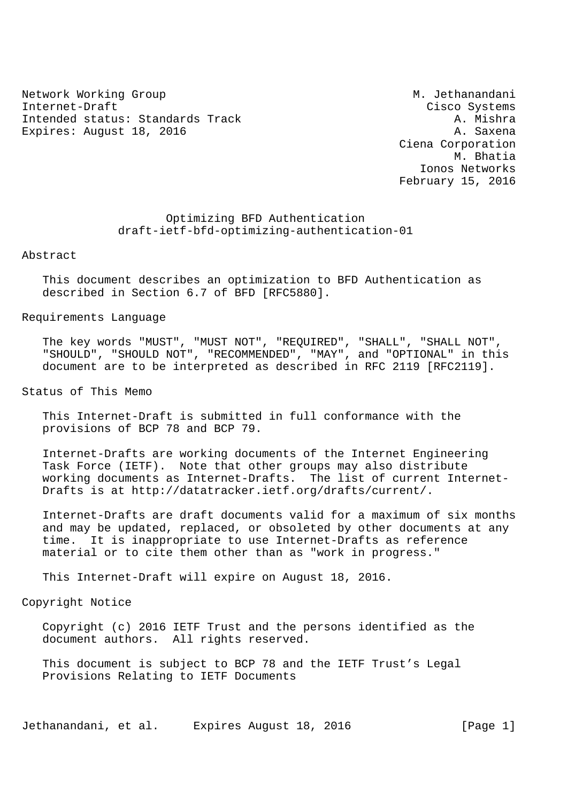Network Working Group Methanandani Methanandani Internet-Draft Cisco Systems Intended status: Standards Track Expires: August 18, 2016 A. Saxena

 Ciena Corporation M. Bhatia Ionos Networks February 15, 2016

 Optimizing BFD Authentication draft-ietf-bfd-optimizing-authentication-01

Abstract

 This document describes an optimization to BFD Authentication as described in Section 6.7 of BFD [RFC5880].

Requirements Language

 The key words "MUST", "MUST NOT", "REQUIRED", "SHALL", "SHALL NOT", "SHOULD", "SHOULD NOT", "RECOMMENDED", "MAY", and "OPTIONAL" in this document are to be interpreted as described in RFC 2119 [RFC2119].

Status of This Memo

 This Internet-Draft is submitted in full conformance with the provisions of BCP 78 and BCP 79.

 Internet-Drafts are working documents of the Internet Engineering Task Force (IETF). Note that other groups may also distribute working documents as Internet-Drafts. The list of current Internet- Drafts is at http://datatracker.ietf.org/drafts/current/.

 Internet-Drafts are draft documents valid for a maximum of six months and may be updated, replaced, or obsoleted by other documents at any time. It is inappropriate to use Internet-Drafts as reference material or to cite them other than as "work in progress."

This Internet-Draft will expire on August 18, 2016.

Copyright Notice

 Copyright (c) 2016 IETF Trust and the persons identified as the document authors. All rights reserved.

 This document is subject to BCP 78 and the IETF Trust's Legal Provisions Relating to IETF Documents

Jethanandani, et al. Expires August 18, 2016 [Page 1]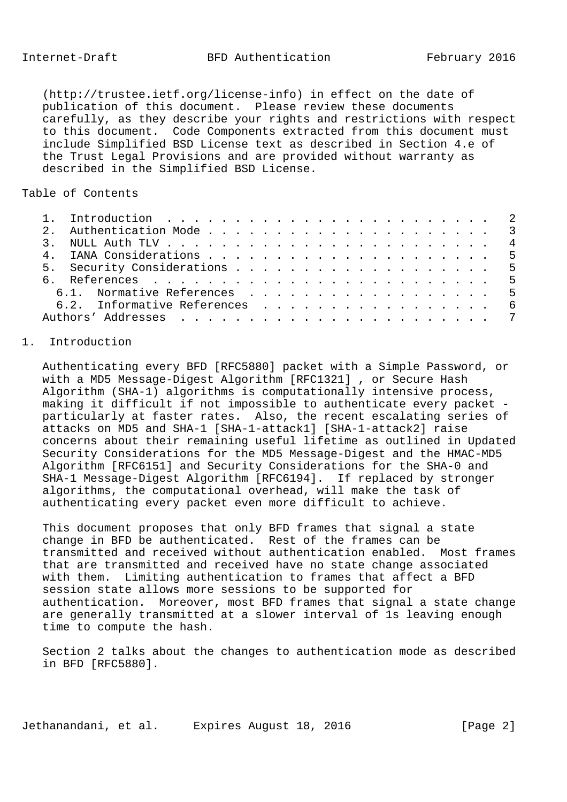Internet-Draft BFD Authentication February 2016

 (http://trustee.ietf.org/license-info) in effect on the date of publication of this document. Please review these documents carefully, as they describe your rights and restrictions with respect to this document. Code Components extracted from this document must include Simplified BSD License text as described in Section 4.e of the Trust Legal Provisions and are provided without warranty as described in the Simplified BSD License.

# Table of Contents

|  | 6.1. Normative References 5   |  |
|--|-------------------------------|--|
|  | 6.2. Informative References 6 |  |
|  |                               |  |

## 1. Introduction

 Authenticating every BFD [RFC5880] packet with a Simple Password, or with a MD5 Message-Digest Algorithm [RFC1321] , or Secure Hash Algorithm (SHA-1) algorithms is computationally intensive process, making it difficult if not impossible to authenticate every packet particularly at faster rates. Also, the recent escalating series of attacks on MD5 and SHA-1 [SHA-1-attack1] [SHA-1-attack2] raise concerns about their remaining useful lifetime as outlined in Updated Security Considerations for the MD5 Message-Digest and the HMAC-MD5 Algorithm [RFC6151] and Security Considerations for the SHA-0 and SHA-1 Message-Digest Algorithm [RFC6194]. If replaced by stronger algorithms, the computational overhead, will make the task of authenticating every packet even more difficult to achieve.

 This document proposes that only BFD frames that signal a state change in BFD be authenticated. Rest of the frames can be transmitted and received without authentication enabled. Most frames that are transmitted and received have no state change associated with them. Limiting authentication to frames that affect a BFD session state allows more sessions to be supported for authentication. Moreover, most BFD frames that signal a state change are generally transmitted at a slower interval of 1s leaving enough time to compute the hash.

 Section 2 talks about the changes to authentication mode as described in BFD [RFC5880].

Jethanandani, et al. Expires August 18, 2016 [Page 2]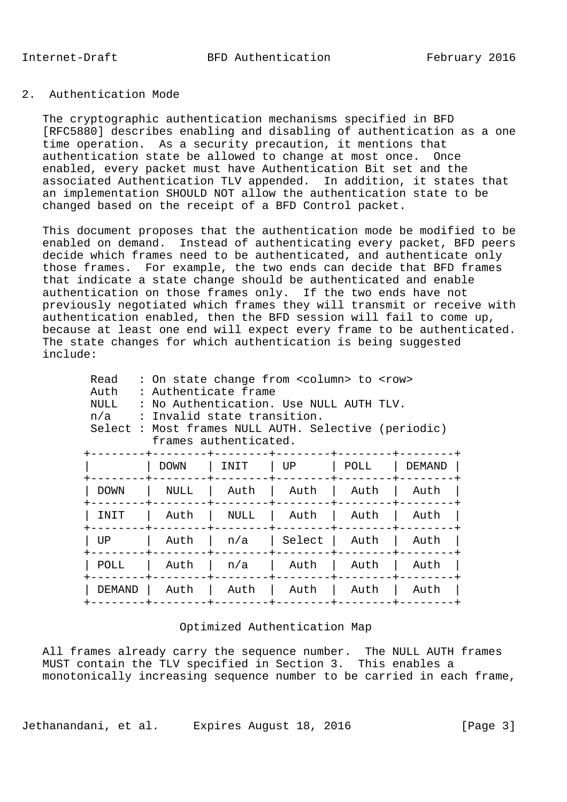## 2. Authentication Mode

 The cryptographic authentication mechanisms specified in BFD [RFC5880] describes enabling and disabling of authentication as a one time operation. As a security precaution, it mentions that authentication state be allowed to change at most once. Once enabled, every packet must have Authentication Bit set and the associated Authentication TLV appended. In addition, it states that an implementation SHOULD NOT allow the authentication state to be changed based on the receipt of a BFD Control packet.

 This document proposes that the authentication mode be modified to be enabled on demand. Instead of authenticating every packet, BFD peers decide which frames need to be authenticated, and authenticate only those frames. For example, the two ends can decide that BFD frames that indicate a state change should be authenticated and enable authentication on those frames only. If the two ends have not previously negotiated which frames they will transmit or receive with authentication enabled, then the BFD session will fail to come up, because at least one end will expect every frame to be authenticated. The state changes for which authentication is being suggested include:

| Read<br>Auth<br>NULL<br>n/a | : On state change from <column> to <row><br/>: Authenticate frame<br/>: No Authentication. Use NULL AUTH TLV.<br/>: Invalid state transition.<br/>Select : Most frames NULL AUTH. Selective (periodic)<br/>frames authenticated.</row></column> |      |        |      |        |  |  |  |
|-----------------------------|-------------------------------------------------------------------------------------------------------------------------------------------------------------------------------------------------------------------------------------------------|------|--------|------|--------|--|--|--|
|                             | <b>DOWN</b>                                                                                                                                                                                                                                     | INIT | UP.    | POLL | DEMAND |  |  |  |
| DOWN                        | NULL                                                                                                                                                                                                                                            | Auth | Auth   | Auth | Auth   |  |  |  |
| INIT                        | Auth                                                                                                                                                                                                                                            | NULL | Auth   | Auth | Auth   |  |  |  |
| UP                          | Auth                                                                                                                                                                                                                                            | n/a  | Select | Auth | Auth   |  |  |  |
| POLL                        | Auth                                                                                                                                                                                                                                            | n/a  | Auth   | Auth | Auth   |  |  |  |
| <b>DEMAND</b>               | Auth                                                                                                                                                                                                                                            | Auth | Auth   | Auth | Auth   |  |  |  |
|                             |                                                                                                                                                                                                                                                 |      |        |      |        |  |  |  |

#### Optimized Authentication Map

 All frames already carry the sequence number. The NULL AUTH frames MUST contain the TLV specified in Section 3. This enables a monotonically increasing sequence number to be carried in each frame,

Jethanandani, et al. Expires August 18, 2016 [Page 3]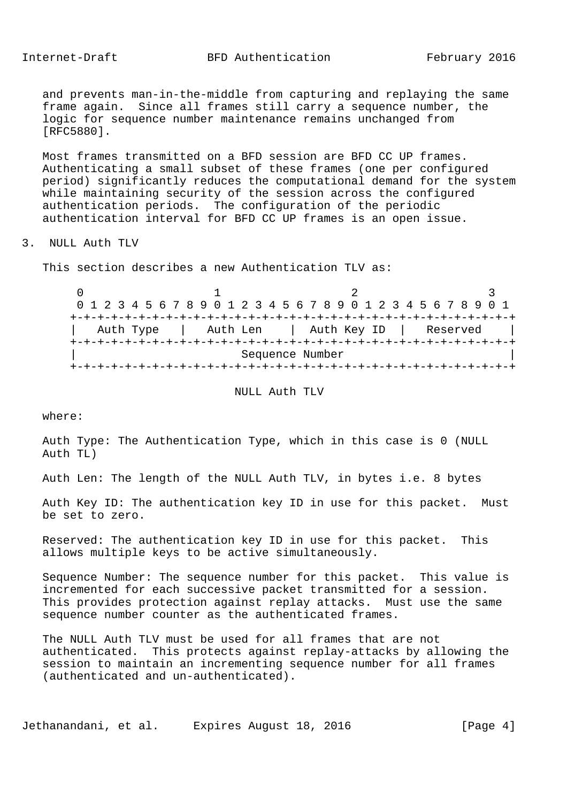# Internet-Draft BFD Authentication February 2016

 and prevents man-in-the-middle from capturing and replaying the same frame again. Since all frames still carry a sequence number, the logic for sequence number maintenance remains unchanged from [RFC5880].

 Most frames transmitted on a BFD session are BFD CC UP frames. Authenticating a small subset of these frames (one per configured period) significantly reduces the computational demand for the system while maintaining security of the session across the configured authentication periods. The configuration of the periodic authentication interval for BFD CC UP frames is an open issue.

3. NULL Auth TLV

This section describes a new Authentication TLV as:

 $0$  1 2 3 0 1 2 3 4 5 6 7 8 9 0 1 2 3 4 5 6 7 8 9 0 1 2 3 4 5 6 7 8 9 0 1 +-+-+-+-+-+-+-+-+-+-+-+-+-+-+-+-+-+-+-+-+-+-+-+-+-+-+-+-+-+-+-+-+ Auth Type | Auth Len | Auth Key ID | Reserved +-+-+-+-+-+-+-+-+-+-+-+-+-+-+-+-+-+-+-+-+-+-+-+-+-+-+-+-+-+-+-+-+ Sequence Number +-+-+-+-+-+-+-+-+-+-+-+-+-+-+-+-+-+-+-+-+-+-+-+-+-+-+-+-+-+-+-+-+

NULL Auth TLV

where:

 Auth Type: The Authentication Type, which in this case is 0 (NULL Auth TL)

Auth Len: The length of the NULL Auth TLV, in bytes i.e. 8 bytes

 Auth Key ID: The authentication key ID in use for this packet. Must be set to zero.

 Reserved: The authentication key ID in use for this packet. This allows multiple keys to be active simultaneously.

 Sequence Number: The sequence number for this packet. This value is incremented for each successive packet transmitted for a session. This provides protection against replay attacks. Must use the same sequence number counter as the authenticated frames.

 The NULL Auth TLV must be used for all frames that are not authenticated. This protects against replay-attacks by allowing the session to maintain an incrementing sequence number for all frames (authenticated and un-authenticated).

Jethanandani, et al. Expires August 18, 2016 [Page 4]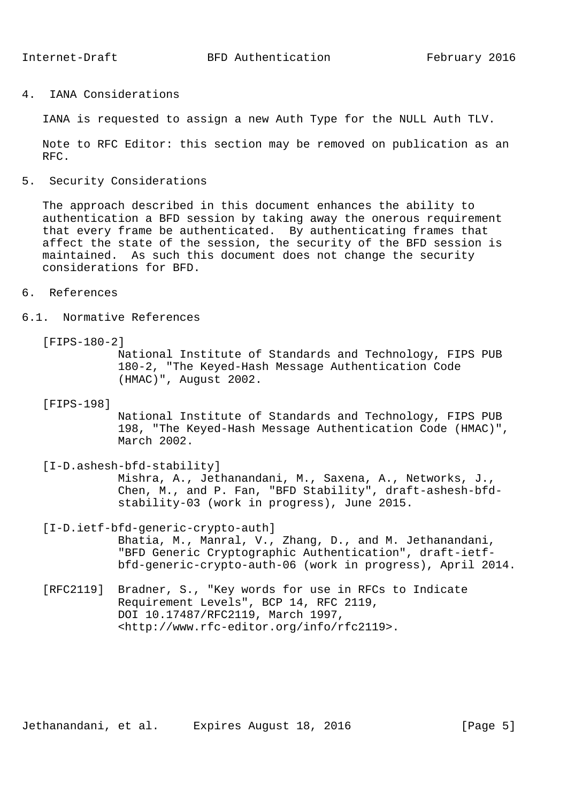4. IANA Considerations

IANA is requested to assign a new Auth Type for the NULL Auth TLV.

 Note to RFC Editor: this section may be removed on publication as an RFC.

5. Security Considerations

 The approach described in this document enhances the ability to authentication a BFD session by taking away the onerous requirement that every frame be authenticated. By authenticating frames that affect the state of the session, the security of the BFD session is maintained. As such this document does not change the security considerations for BFD.

- 6. References
- 6.1. Normative References
	- [FIPS-180-2]

 National Institute of Standards and Technology, FIPS PUB 180-2, "The Keyed-Hash Message Authentication Code (HMAC)", August 2002.

[FIPS-198]

 National Institute of Standards and Technology, FIPS PUB 198, "The Keyed-Hash Message Authentication Code (HMAC)", March 2002.

[I-D.ashesh-bfd-stability]

 Mishra, A., Jethanandani, M., Saxena, A., Networks, J., Chen, M., and P. Fan, "BFD Stability", draft-ashesh-bfd stability-03 (work in progress), June 2015.

[I-D.ietf-bfd-generic-crypto-auth]

 Bhatia, M., Manral, V., Zhang, D., and M. Jethanandani, "BFD Generic Cryptographic Authentication", draft-ietf bfd-generic-crypto-auth-06 (work in progress), April 2014.

 [RFC2119] Bradner, S., "Key words for use in RFCs to Indicate Requirement Levels", BCP 14, RFC 2119, DOI 10.17487/RFC2119, March 1997, <http://www.rfc-editor.org/info/rfc2119>.

Jethanandani, et al. Expires August 18, 2016 [Page 5]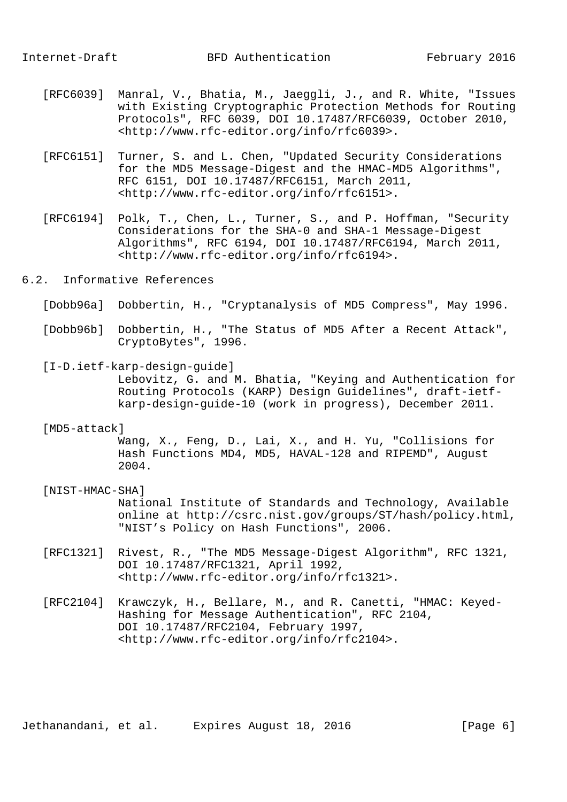- [RFC6039] Manral, V., Bhatia, M., Jaeggli, J., and R. White, "Issues with Existing Cryptographic Protection Methods for Routing Protocols", RFC 6039, DOI 10.17487/RFC6039, October 2010, <http://www.rfc-editor.org/info/rfc6039>.
- [RFC6151] Turner, S. and L. Chen, "Updated Security Considerations for the MD5 Message-Digest and the HMAC-MD5 Algorithms", RFC 6151, DOI 10.17487/RFC6151, March 2011, <http://www.rfc-editor.org/info/rfc6151>.
- [RFC6194] Polk, T., Chen, L., Turner, S., and P. Hoffman, "Security Considerations for the SHA-0 and SHA-1 Message-Digest Algorithms", RFC 6194, DOI 10.17487/RFC6194, March 2011, <http://www.rfc-editor.org/info/rfc6194>.
- 6.2. Informative References
	- [Dobb96a] Dobbertin, H., "Cryptanalysis of MD5 Compress", May 1996.
	- [Dobb96b] Dobbertin, H., "The Status of MD5 After a Recent Attack", CryptoBytes", 1996.
	- [I-D.ietf-karp-design-guide] Lebovitz, G. and M. Bhatia, "Keying and Authentication for Routing Protocols (KARP) Design Guidelines", draft-ietf karp-design-guide-10 (work in progress), December 2011.

#### [MD5-attack]

 Wang, X., Feng, D., Lai, X., and H. Yu, "Collisions for Hash Functions MD4, MD5, HAVAL-128 and RIPEMD", August 2004.

### [NIST-HMAC-SHA]

 National Institute of Standards and Technology, Available online at http://csrc.nist.gov/groups/ST/hash/policy.html, "NIST's Policy on Hash Functions", 2006.

- [RFC1321] Rivest, R., "The MD5 Message-Digest Algorithm", RFC 1321, DOI 10.17487/RFC1321, April 1992, <http://www.rfc-editor.org/info/rfc1321>.
- [RFC2104] Krawczyk, H., Bellare, M., and R. Canetti, "HMAC: Keyed- Hashing for Message Authentication", RFC 2104, DOI 10.17487/RFC2104, February 1997, <http://www.rfc-editor.org/info/rfc2104>.

Jethanandani, et al. Expires August 18, 2016 [Page 6]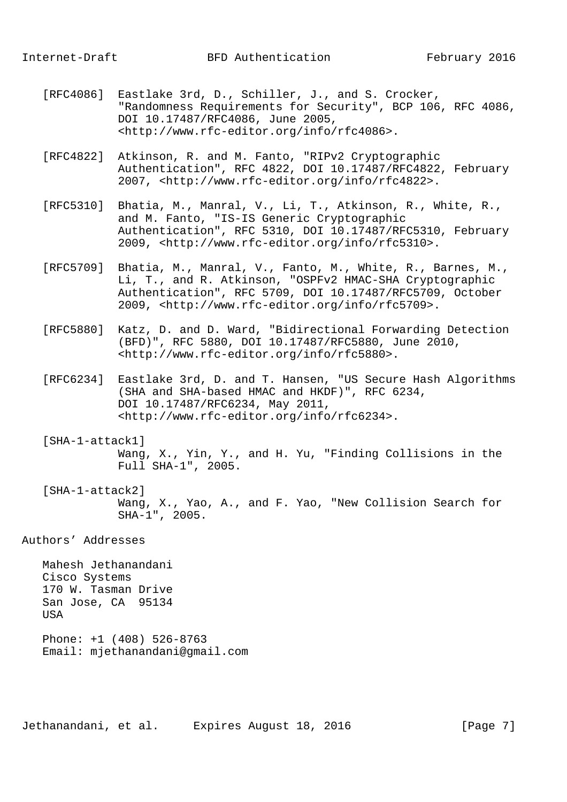- [RFC4086] Eastlake 3rd, D., Schiller, J., and S. Crocker, "Randomness Requirements for Security", BCP 106, RFC 4086, DOI 10.17487/RFC4086, June 2005, <http://www.rfc-editor.org/info/rfc4086>.
- [RFC4822] Atkinson, R. and M. Fanto, "RIPv2 Cryptographic Authentication", RFC 4822, DOI 10.17487/RFC4822, February 2007, <http://www.rfc-editor.org/info/rfc4822>.
- [RFC5310] Bhatia, M., Manral, V., Li, T., Atkinson, R., White, R., and M. Fanto, "IS-IS Generic Cryptographic Authentication", RFC 5310, DOI 10.17487/RFC5310, February 2009, <http://www.rfc-editor.org/info/rfc5310>.
- [RFC5709] Bhatia, M., Manral, V., Fanto, M., White, R., Barnes, M., Li, T., and R. Atkinson, "OSPFv2 HMAC-SHA Cryptographic Authentication", RFC 5709, DOI 10.17487/RFC5709, October 2009, <http://www.rfc-editor.org/info/rfc5709>.
- [RFC5880] Katz, D. and D. Ward, "Bidirectional Forwarding Detection (BFD)", RFC 5880, DOI 10.17487/RFC5880, June 2010, <http://www.rfc-editor.org/info/rfc5880>.
- [RFC6234] Eastlake 3rd, D. and T. Hansen, "US Secure Hash Algorithms (SHA and SHA-based HMAC and HKDF)", RFC 6234, DOI 10.17487/RFC6234, May 2011, <http://www.rfc-editor.org/info/rfc6234>.
- [SHA-1-attack1] Wang, X., Yin, Y., and H. Yu, "Finding Collisions in the Full SHA-1", 2005.
- [SHA-1-attack2] Wang, X., Yao, A., and F. Yao, "New Collision Search for SHA-1", 2005.

# Authors' Addresses

 Mahesh Jethanandani Cisco Systems 170 W. Tasman Drive San Jose, CA 95134 USA

 Phone: +1 (408) 526-8763 Email: mjethanandani@gmail.com

Jethanandani, et al. Expires August 18, 2016 [Page 7]